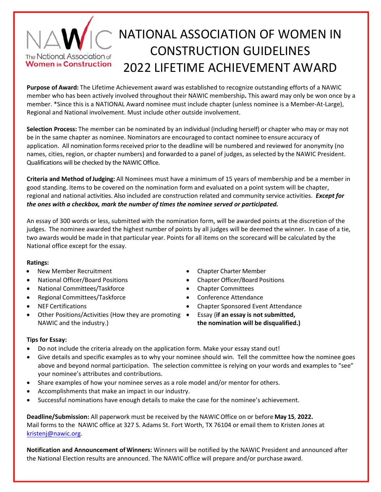## NATIONAL ASSOCIATION OF WOMEN IN CONSTRUCTION GUIDELINES The National Association of **Women in Construction** 2022 LIFETIME ACHIEVEMENT AWARD

**Purpose of Award:** The Lifetime Achievement award was established to recognize outstanding efforts of a NAWIC member who has been actively involved throughout their NAWIC membership**.** This award may only be won once by a member. \*Since this is a NATIONAL Award nominee must include chapter (unless nominee is a Member‐At‐Large), Regional and National involvement. Must include other outside involvement.

**Selection Process:** The member can be nominated by an individual (including herself) or chapter who may or may not be in the same chapter as nominee. Nominators are encouraged to contact nominee to ensure accuracy of application. All nomination forms received prior to the deadline will be numbered and reviewed for anonymity (no names, cities, region, or chapter numbers) and forwarded to a panel of judges, as selected by the NAWIC President. Qualifications will be checked by the NAWIC Office.

**Criteria and Method of Judging:** All Nominees must have a minimum of 15 years of membership and be a member in good standing. Items to be covered on the nomination form and evaluated on a point system will be chapter, regional and national activities. Also included are construction related and community service activities. *Except for the ones with a checkbox, mark the number of times the nominee served or participated.* 

An essay of 300 words or less, submitted with the nomination form, will be awarded points at the discretion of the judges. The nominee awarded the highest number of points by all judges will be deemed the winner. In case of a tie, two awards would be made in that particular year. Points for all items on the scorecard will be calculated by the National office except for the essay.

### **Ratings:**

- New Member Recruitment Chapter Charter Member
- National Officer/Board Positions Chapter Officer/Board Positions
- National Committees/Taskforce **Chapter Committees Chapter Committees**
- Regional Committees/Taskforce Conference Attendance
- 
- Other Positions/Activities (How they are promoting  $\bullet$ NAWIC and the industry.)
- 
- 
- 
- 
- NEF Certifications Chapter Sponsored Event Attendance
	- Essay (**if an essay is not submitted,**

**the nomination will be disqualified.)**

### **Tips for Essay:**

- Do not include the criteria already on the application form. Make your essay stand out!
- Give details and specific examples as to why your nominee should win. Tell the committee how the nominee goes above and beyond normal participation. The selection committee is relying on your words and examples to "see" your nominee's attributes and contributions.
- Share examples of how your nominee serves as a role model and/or mentor for others.
- Accomplishments that make an impact in our industry.
- Successful nominations have enough details to make the case for the nominee's achievement.

**Deadline/Submission:** All paperwork must be received by the NAWICOffice on or before **May 15**, **2022.** Mail forms to the NAWIC office at 327 S. Adams St. Fort Worth, TX 76104 or email them to Kristen Jones at kristenj@nawic.org.

**Notification and Announcement of Winners:** Winners will be notified by the NAWIC President and announced after the National Election results are announced. The NAWIC office will prepare and/or purchase award.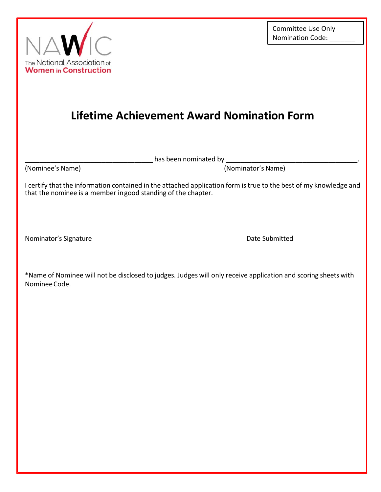

# **Lifetime Achievement Award Nomination Form**

has been nominated by \_\_\_\_\_\_\_

(Nominee's Name) (Nominator's Name)

I certify that the information contained in the attached application form is true to the best of my knowledge and that the nominee is a member in good standing of the chapter.

Nominator's Signature **Nominator's Signature Date Submitted** 

\*Name of Nominee will not be disclosed to judges. Judges will only receive application and scoring sheets with Nominee Code.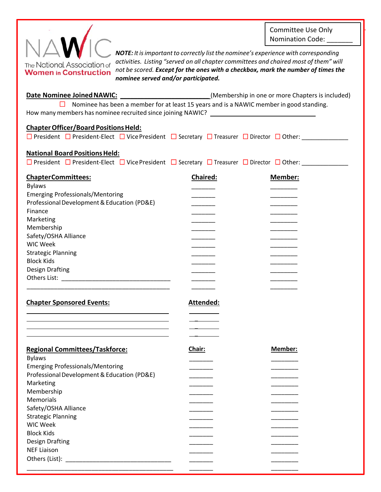Committee Use Only Nomination Code:



*NOTE: It is important to correctly list the nominee's experience with corresponding activities. Listing "served on all chapter committees and chaired most of them" will not be scored. Except for the ones with a checkbox, mark the number of times the nominee served and/or participated.* 

**Date Nominee Joined NAWIC:** \_\_\_\_\_\_\_\_\_\_\_\_\_\_\_\_\_\_\_\_\_\_\_\_\_\_\_\_(Membership in one or more Chapters is included) □ Nominee has been a member for at least 15 years and is a NAWIC member in good standing. How many members has nominee recruited since joining NAWIC?

### **Chapter Officer/Board Positions Held:**

| □ President □ President-Elect □ Vice President □ Secretary □ Treasurer □ Director □ Other: |  |  |  |
|--------------------------------------------------------------------------------------------|--|--|--|
|                                                                                            |  |  |  |

### **National Board Positions Held:**

□ President □ President-Elect □ Vice President □ Secretary □ Treasurer □ Director □ Other:

| <b>ChapterCommittees:</b>                   | <b>Chaired:</b> | Member: |
|---------------------------------------------|-----------------|---------|
| <b>Bylaws</b>                               |                 |         |
| <b>Emerging Professionals/Mentoring</b>     |                 |         |
| Professional Development & Education (PD&E) |                 |         |
| Finance                                     |                 |         |
| Marketing                                   |                 |         |
| Membership<br>Safety/OSHA Alliance          |                 |         |
| <b>WIC Week</b>                             |                 |         |
| <b>Strategic Planning</b>                   |                 |         |
| <b>Block Kids</b>                           |                 |         |
| <b>Design Drafting</b>                      |                 |         |
| Others List:                                |                 |         |
|                                             |                 |         |

 $\overline{\phantom{a}}$ 

#### **Chapter Sponsored Events: Attended: Attended:**

| <b>Regional Committees/Taskforce:</b>       | Chair: | Member: |
|---------------------------------------------|--------|---------|
| <b>Bylaws</b>                               |        |         |
| <b>Emerging Professionals/Mentoring</b>     |        |         |
| Professional Development & Education (PD&E) |        |         |
| Marketing                                   |        |         |
| Membership                                  |        |         |
| Memorials                                   |        |         |
| Safety/OSHA Alliance                        |        |         |
| <b>Strategic Planning</b>                   |        |         |
| <b>WIC Week</b>                             |        |         |
| <b>Block Kids</b>                           |        |         |
| <b>Design Drafting</b>                      |        |         |
| <b>NEF Liaison</b>                          |        |         |
| Others (List):                              |        |         |
|                                             |        |         |